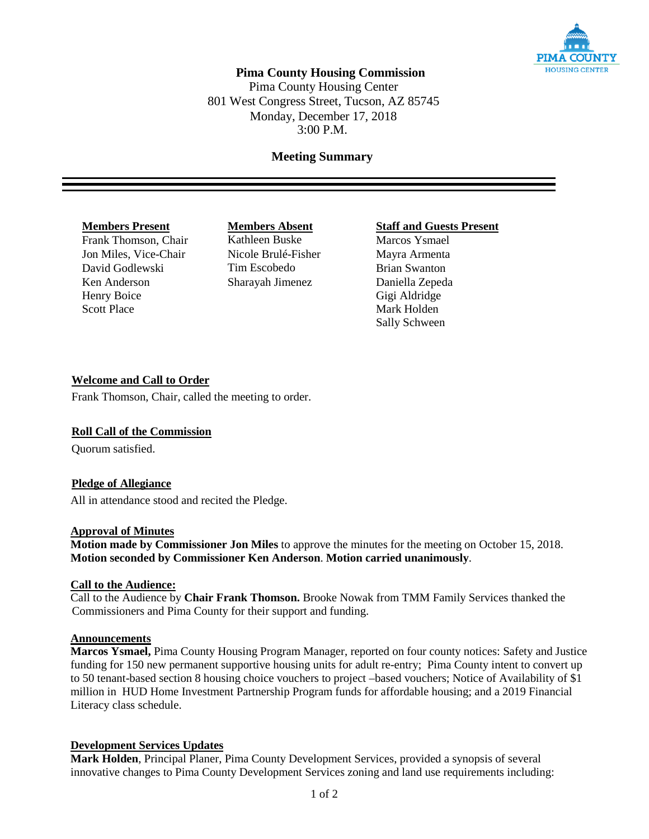

# **Pima County Housing Commission**

Pima County Housing Center 801 West Congress Street, Tucson, AZ 85745 Monday, December 17, 2018 3:00 P.M.

## **Meeting Summary**

Frank Thomson, Chair Kathleen Buske Marcos Ysmael Jon Miles, Vice-Chair Nicole Brulé-Fisher Mayra Armenta David Godlewski Tim Escobedo Brian Swanton Ken Anderson Sharayah Jimenez Daniella Zepeda Henry Boice Gigi Aldridge Scott Place Mark Holden

**Members Present**<br> **Members Absent**<br> **Members Absent**<br> **Staff and Guests Present**<br> **Marcos Ysmael** 

Sally Schween

### **Welcome and Call to Order**

Frank Thomson, Chair, called the meeting to order.

#### **Roll Call of the Commission**

Quorum satisfied.

### **Pledge of Allegiance**

All in attendance stood and recited the Pledge.

#### **Approval of Minutes**

**Motion made by Commissioner Jon Miles** to approve the minutes for the meeting on October 15, 2018. **Motion seconded by Commissioner Ken Anderson**. **Motion carried unanimously**.

#### **Call to the Audience:**

Call to the Audience by **Chair Frank Thomson.** Brooke Nowak from TMM Family Services thanked the Commissioners and Pima County for their support and funding.

## **Announcements**

**Marcos Ysmael,** Pima County Housing Program Manager, reported on four county notices: Safety and Justice funding for 150 new permanent supportive housing units for adult re-entry; Pima County intent to convert up to 50 tenant-based section 8 housing choice vouchers to project –based vouchers; Notice of Availability of \$1 million in HUD Home Investment Partnership Program funds for affordable housing; and a 2019 Financial Literacy class schedule.

### **Development Services Updates**

**Mark Holden**, Principal Planer, Pima County Development Services, provided a synopsis of several innovative changes to Pima County Development Services zoning and land use requirements including: